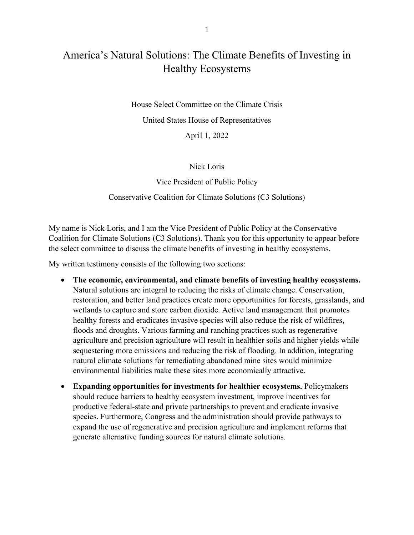# America's Natural Solutions: The Climate Benefits of Investing in Healthy Ecosystems

House Select Committee on the Climate Crisis United States House of Representatives

April 1, 2022

## Nick Loris

Vice President of Public Policy Conservative Coalition for Climate Solutions (C3 Solutions)

My name is Nick Loris, and I am the Vice President of Public Policy at the Conservative Coalition for Climate Solutions (C3 Solutions). Thank you for this opportunity to appear before the select committee to discuss the climate benefits of investing in healthy ecosystems.

My written testimony consists of the following two sections:

- **The economic, environmental, and climate benefits of investing healthy ecosystems.** Natural solutions are integral to reducing the risks of climate change. Conservation, restoration, and better land practices create more opportunities for forests, grasslands, and wetlands to capture and store carbon dioxide. Active land management that promotes healthy forests and eradicates invasive species will also reduce the risk of wildfires, floods and droughts. Various farming and ranching practices such as regenerative agriculture and precision agriculture will result in healthier soils and higher yields while sequestering more emissions and reducing the risk of flooding. In addition, integrating natural climate solutions for remediating abandoned mine sites would minimize environmental liabilities make these sites more economically attractive.
- **Expanding opportunities for investments for healthier ecosystems.** Policymakers should reduce barriers to healthy ecosystem investment, improve incentives for productive federal-state and private partnerships to prevent and eradicate invasive species. Furthermore, Congress and the administration should provide pathways to expand the use of regenerative and precision agriculture and implement reforms that generate alternative funding sources for natural climate solutions.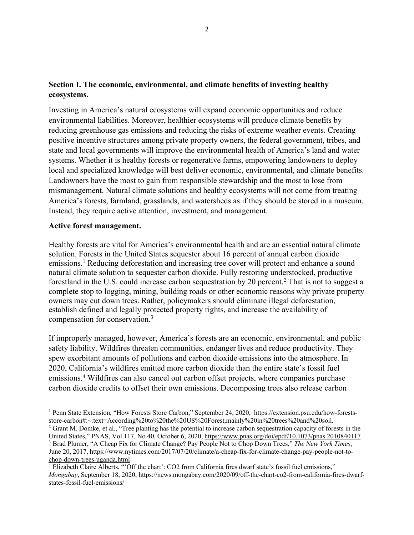# **Section I. The economic, environmental, and climate benefits of investing healthy ecosystems.**

Investing in America's natural ecosystems will expand economic opportunities and reduce environmental liabilities. Moreover, healthier ecosystems will produce climate benefits by reducing greenhouse gas emissions and reducing the risks of extreme weather events. Creating positive incentive structures among private property owners, the federal government, tribes, and state and local governments will improve the environmental health of America's land and water systems. Whether it is healthy forests or regenerative farms, empowering landowners to deploy local and specialized knowledge will best deliver economic, environmental, and climate benefits. Landowners have the most to gain from responsible stewardship and the most to lose from mismanagement. Natural climate solutions and healthy ecosystems will not come from treating America's forests, farmland, grasslands, and watersheds as if they should be stored in a museum. Instead, they require active attention, investment, and management.

### **Active forest management.**

Healthy forests are vital for America's environmental health and are an essential natural climate solution. Forests in the United States sequester about 16 percent of annual carbon dioxide emissions.<sup>1</sup> Reducing deforestation and increasing tree cover will protect and enhance a sound natural climate solution to sequester carbon dioxide. Fully restoring understocked, productive forestland in the U.S. could increase carbon sequestration by 20 percent.<sup>2</sup> That is not to suggest a complete stop to logging, mining, building roads or other economic reasons why private property owners may cut down trees. Rather, policymakers should eliminate illegal deforestation, establish defined and legally protected property rights, and increase the availability of compensation for conservation.3

If improperly managed, however, America's forests are an economic, environmental, and public safety liability. Wildfires threaten communities, endanger lives and reduce productivity. They spew exorbitant amounts of pollutions and carbon dioxide emissions into the atmosphere. In 2020, California's wildfires emitted more carbon dioxide than the entire state's fossil fuel emissions.4 Wildfires can also cancel out carbon offset projects, where companies purchase carbon dioxide credits to offset their own emissions. Decomposing trees also release carbon

<sup>&</sup>lt;sup>1</sup> Penn State Extension, "How Forests Store Carbon," September 24, 2020, https://extension.psu.edu/how-forestsstore-carbon#:~:text=According%20to%20the%20US%20Forest,mainly%20in%20trees%20and%20soil.

<sup>&</sup>lt;sup>2</sup> Grant M. Domke, et al., "Tree planting has the potential to increase carbon sequestration capacity of forests in the United States," PNAS, Vol 117. No 40, October 6, 2020, https://www.pnas.org/doi/epdf/10.1073/pnas.2010840117 <sup>3</sup> Brad Plumer, "A Cheap Fix for Climate Change? Pay People Not to Chop Down Trees," *The New York Times*, June 20, 2017, https://www.nytimes.com/2017/07/20/climate/a-cheap-fix-for-climate-change-pay-people-not-tochop-down-trees-uganda.html

<sup>4</sup> Elizabeth Claire Alberts, "'Off the chart': CO2 from California fires dwarf state's fossil fuel emissions," *Mongabay*, September 18, 2020, https://news.mongabay.com/2020/09/off-the-chart-co2-from-california-fires-dwarfstates-fossil-fuel-emissions/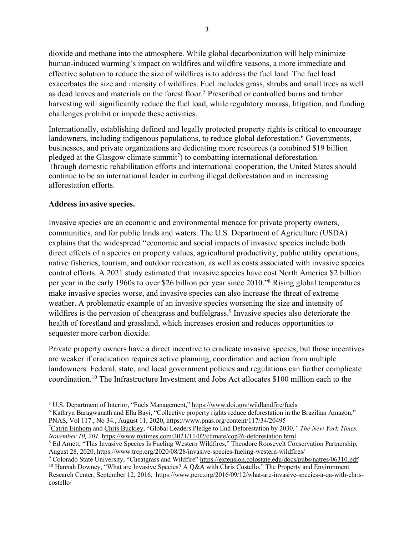dioxide and methane into the atmosphere. While global decarbonization will help minimize human-induced warming's impact on wildfires and wildfire seasons, a more immediate and effective solution to reduce the size of wildfires is to address the fuel load. The fuel load exacerbates the size and intensity of wildfires. Fuel includes grass, shrubs and small trees as well as dead leaves and materials on the forest floor.<sup>5</sup> Prescribed or controlled burns and timber harvesting will significantly reduce the fuel load, while regulatory morass, litigation, and funding challenges prohibit or impede these activities.

Internationally, establishing defined and legally protected property rights is critical to encourage landowners, including indigenous populations, to reduce global deforestation.<sup>6</sup> Governments, businesses, and private organizations are dedicating more resources (a combined \$19 billion pledged at the Glasgow climate summit<sup>7</sup>) to combatting international deforestation. Through domestic rehabilitation efforts and international cooperation, the United States should continue to be an international leader in curbing illegal deforestation and in increasing afforestation efforts.

## **Address invasive species.**

Invasive species are an economic and environmental menace for private property owners, communities, and for public lands and waters. The U.S. Department of Agriculture (USDA) explains that the widespread "economic and social impacts of invasive species include both direct effects of a species on property values, agricultural productivity, public utility operations, native fisheries, tourism, and outdoor recreation, as well as costs associated with invasive species control efforts. A 2021 study estimated that invasive species have cost North America \$2 billion per year in the early 1960s to over \$26 billion per year since 2010."8 Rising global temperatures make invasive species worse, and invasive species can also increase the threat of extreme weather. A problematic example of an invasive species worsening the size and intensity of wildfires is the pervasion of cheatgrass and buffelgrass. <sup>9</sup> Invasive species also deteriorate the health of forestland and grassland, which increases erosion and reduces opportunities to sequester more carbon dioxide.

Private property owners have a direct incentive to eradicate invasive species, but those incentives are weaker if eradication requires active planning, coordination and action from multiple landowners. Federal, state, and local government policies and regulations can further complicate coordination.10 The Infrastructure Investment and Jobs Act allocates \$100 million each to the

7 Catrin Einhorn and Chris Buckley, "Global Leaders Pledge to End Deforestation by 2030*," The New York Times, November 10, 201,* https://www.nytimes.com/2021/11/02/climate/cop26-deforestation.html

<sup>5</sup> U.S. Department of Interior, "Fuels Management," https://www.doi.gov/wildlandfire/fuels

<sup>&</sup>lt;sup>6</sup> Kathryn Baragwanath and Ella Bayi, "Collective property rights reduce deforestation in the Brazilian Amazon," PNAS, Vol 117., No 34., August 11, 2020, https://www.pnas.org/content/117/34/20495

<sup>8</sup> Ed Arnett, "This Invasive Species Is Fueling Western Wildfires," Theodore Roosevelt Conservation Partnership, August 28, 2020, https://www.trcp.org/2020/08/28/invasive-species-fueling-western-wildfires/

<sup>&</sup>lt;sup>9</sup> Colorado State University, "Cheatgrass and Wildfire" https://extension.colostate.edu/docs/pubs/natres/06310.pdf <sup>10</sup> Hannah Downey, "What are Invasive Species? A Q&A with Chris Costello," The Property and Environment

Research Center, September 12, 2016, https://www.perc.org/2016/09/12/what-are-invasive-species-a-qa-with-chriscostello/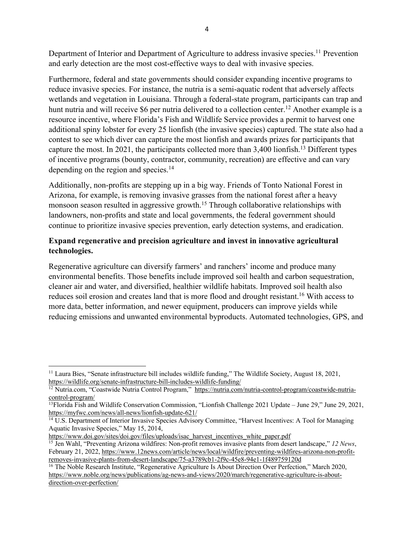Department of Interior and Department of Agriculture to address invasive species.<sup>11</sup> Prevention and early detection are the most cost-effective ways to deal with invasive species.

Furthermore, federal and state governments should consider expanding incentive programs to reduce invasive species. For instance, the nutria is a semi-aquatic rodent that adversely affects wetlands and vegetation in Louisiana. Through a federal-state program, participants can trap and hunt nutria and will receive \$6 per nutria delivered to a collection center.<sup>12</sup> Another example is a resource incentive, where Florida's Fish and Wildlife Service provides a permit to harvest one additional spiny lobster for every 25 lionfish (the invasive species) captured. The state also had a contest to see which diver can capture the most lionfish and awards prizes for participants that capture the most. In 2021, the participants collected more than 3,400 lionfish.13 Different types of incentive programs (bounty, contractor, community, recreation) are effective and can vary depending on the region and species.<sup>14</sup>

Additionally, non-profits are stepping up in a big way. Friends of Tonto National Forest in Arizona, for example, is removing invasive grasses from the national forest after a heavy monsoon season resulted in aggressive growth.15 Through collaborative relationships with landowners, non-profits and state and local governments, the federal government should continue to prioritize invasive species prevention, early detection systems, and eradication.

# **Expand regenerative and precision agriculture and invest in innovative agricultural technologies.**

Regenerative agriculture can diversify farmers' and ranchers' income and produce many environmental benefits. Those benefits include improved soil health and carbon sequestration, cleaner air and water, and diversified, healthier wildlife habitats. Improved soil health also reduces soil erosion and creates land that is more flood and drought resistant.<sup>16</sup> With access to more data, better information, and newer equipment, producers can improve yields while reducing emissions and unwanted environmental byproducts. Automated technologies, GPS, and

<sup>11</sup> Laura Bies, "Senate infrastructure bill includes wildlife funding," The Wildlife Society, August 18, 2021, https://wildlife.org/senate-infrastructure-bill-includes-wildlife-funding/

<sup>&</sup>lt;sup>12</sup> Nutria.com, "Coastwide Nutria Control Program," https://nutria.com/nutria-control-program/coastwide-nutriacontrol-program/

<sup>&</sup>lt;sup>13</sup>Florida Fish and Wildlife Conservation Commission, "Lionfish Challenge 2021 Update – June 29," June 29, 2021, https://myfwc.com/news/all-news/lionfish-update-621/

<sup>&</sup>lt;sup>14</sup> U.S. Department of Interior Invasive Species Advisory Committee, "Harvest Incentives: A Tool for Managing Aquatic Invasive Species," May 15, 2014,

https://www.doi.gov/sites/doi.gov/files/uploads/isac\_harvest\_incentives\_white\_paper.pdf

<sup>15</sup> Jen Wahl, "Preventing Arizona wildfires: Non-profit removes invasive plants from desert landscape," *12 News*, February 21, 2022, https://www.12news.com/article/news/local/wildfire/preventing-wildfires-arizona-non-profitremoves-invasive-plants-from-desert-landscape/75-a3789cb1-2f9c-45e8-94e1-1f489759120d

<sup>&</sup>lt;sup>16</sup> The Noble Research Institute, "Regenerative Agriculture Is About Direction Over Perfection," March 2020, https://www.noble.org/news/publications/ag-news-and-views/2020/march/regenerative-agriculture-is-aboutdirection-over-perfection/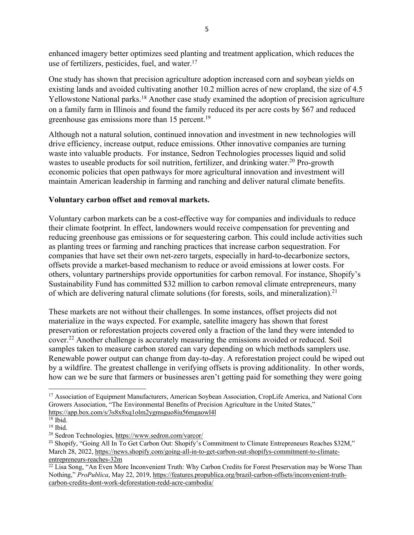enhanced imagery better optimizes seed planting and treatment application, which reduces the use of fertilizers, pesticides, fuel, and water.<sup>17</sup>

One study has shown that precision agriculture adoption increased corn and soybean yields on existing lands and avoided cultivating another 10.2 million acres of new cropland, the size of 4.5 Yellowstone National parks.<sup>18</sup> Another case study examined the adoption of precision agriculture on a family farm in Illinois and found the family reduced its per acre costs by \$67 and reduced greenhouse gas emissions more than 15 percent.<sup>19</sup>

Although not a natural solution, continued innovation and investment in new technologies will drive efficiency, increase output, reduce emissions. Other innovative companies are turning waste into valuable products. For instance, Sedron Technologies processes liquid and solid wastes to useable products for soil nutrition, fertilizer, and drinking water.<sup>20</sup> Pro-growth economic policies that open pathways for more agricultural innovation and investment will maintain American leadership in farming and ranching and deliver natural climate benefits.

## **Voluntary carbon offset and removal markets.**

Voluntary carbon markets can be a cost-effective way for companies and individuals to reduce their climate footprint. In effect, landowners would receive compensation for preventing and reducing greenhouse gas emissions or for sequestering carbon. This could include activities such as planting trees or farming and ranching practices that increase carbon sequestration. For companies that have set their own net-zero targets, especially in hard-to-decarbonize sectors, offsets provide a market-based mechanism to reduce or avoid emissions at lower costs. For others, voluntary partnerships provide opportunities for carbon removal. For instance, Shopify's Sustainability Fund has committed \$32 million to carbon removal climate entrepreneurs, many of which are delivering natural climate solutions (for forests, soils, and mineralization).<sup>21</sup>

These markets are not without their challenges. In some instances, offset projects did not materialize in the ways expected. For example, satellite imagery has shown that forest preservation or reforestation projects covered only a fraction of the land they were intended to cover.22 Another challenge is accurately measuring the emissions avoided or reduced. Soil samples taken to measure carbon stored can vary depending on which methods samplers use. Renewable power output can change from day-to-day. A reforestation project could be wiped out by a wildfire. The greatest challenge in verifying offsets is proving additionality. In other words, how can we be sure that farmers or businesses aren't getting paid for something they were going

<sup>&</sup>lt;sup>17</sup> Association of Equipment Manufacturers, American Soybean Association, CropLife America, and National Corn Growers Association, "The Environmental Benefits of Precision Agriculture in the United States," https://app.box.com/s/3s8x8xq1olm2ygmsguo8iu56mgaowl4l

 $\overline{^{18}}$  Ibid.

 $19$  Ibid.

<sup>20</sup> Sedron Technologies, https://www.sedron.com/varcor/

<sup>21</sup> Shopify, "Going All In To Get Carbon Out: Shopify's Commitment to Climate Entrepreneurs Reaches \$32M," March 28, 2022, https://news.shopify.com/going-all-in-to-get-carbon-out-shopifys-commitment-to-climateentrepreneurs-reaches-32m

<sup>&</sup>lt;sup>22</sup> Lisa Song, "An Even More Inconvenient Truth: Why Carbon Credits for Forest Preservation may be Worse Than Nothing," *ProPublica*, May 22, 2019, https://features.propublica.org/brazil-carbon-offsets/inconvenient-truthcarbon-credits-dont-work-deforestation-redd-acre-cambodia/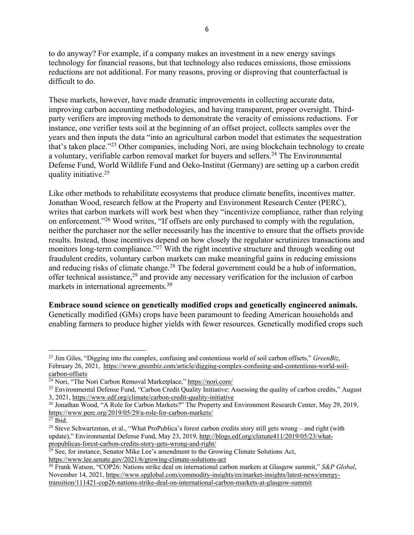to do anyway? For example, if a company makes an investment in a new energy savings technology for financial reasons, but that technology also reduces emissions, those emissions reductions are not additional. For many reasons, proving or disproving that counterfactual is difficult to do.

These markets, however, have made dramatic improvements in collecting accurate data, improving carbon accounting methodologies, and having transparent, proper oversight. Thirdparty verifiers are improving methods to demonstrate the veracity of emissions reductions. For instance, one verifier tests soil at the beginning of an offset project, collects samples over the years and then inputs the data "into an agricultural carbon model that estimates the sequestration that's taken place."23 Other companies, including Nori, are using blockchain technology to create a voluntary, verifiable carbon removal market for buyers and sellers.<sup>24</sup> The Environmental Defense Fund, World Wildlife Fund and Oeko-Institut (Germany) are setting up a carbon credit quality initiative.25

Like other methods to rehabilitate ecosystems that produce climate benefits, incentives matter. Jonathan Wood, research fellow at the Property and Environment Research Center (PERC), writes that carbon markets will work best when they "incentivize compliance, rather than relying on enforcement."26 Wood writes, "If offsets are only purchased to comply with the regulation, neither the purchaser nor the seller necessarily has the incentive to ensure that the offsets provide results. Instead, those incentives depend on how closely the regulator scrutinizes transactions and monitors long-term compliance."<sup>27</sup> With the right incentive structure and through weeding out fraudulent credits, voluntary carbon markets can make meaningful gains in reducing emissions and reducing risks of climate change.<sup>28</sup> The federal government could be a hub of information, offer technical assistance, <sup>29</sup> and provide any necessary verification for the inclusion of carbon markets in international agreements.30

**Embrace sound science on genetically modified crops and genetically engineered animals.** Genetically modified (GMs) crops have been paramount to feeding American households and enabling farmers to produce higher yields with fewer resources. Genetically modified crops such

<sup>23</sup> Jim Giles, "Digging into the complex, confusing and contentious world of soil carbon offsets," *GreenBiz*, February 26, 2021, https://www.greenbiz.com/article/digging-complex-confusing-and-contentious-world-soilcarbon-offsets

<sup>&</sup>lt;sup>24</sup> Nori, "The Nori Carbon Removal Marketplace," https://nori.com/

<sup>&</sup>lt;sup>25</sup> Environmental Defense Fund, "Carbon Credit Quality Initiative: Assessing the quality of carbon credits," August 3, 2021, https://www.edf.org/climate/carbon-credit-quality-initiative

<sup>&</sup>lt;sup>26</sup> Jonathan Wood, "A Role for Carbon Markets?" The Property and Environment Research Center, May 29, 2019, https://www.perc.org/2019/05/29/a-role-for-carbon-markets/

 $\overline{^{27}}$  Ibid.

<sup>&</sup>lt;sup>28</sup> Steve Schwartzman, et al., "What ProPublica's forest carbon credits story still gets wrong – and right (with update)," Environmental Defense Fund, May 23, 2019, http://blogs.edf.org/climate411/2019/05/23/whatpropublicas-forest-carbon-credits-story-gets-wrong-and-right/

 $29$  See, for instance, Senator Mike Lee's amendment to the Growing Climate Solutions Act, https://www.lee.senate.gov/2021/6/growing-climate-solutions-act

<sup>30</sup> Frank Watson, "COP26: Nations strike deal on international carbon markets at Glasgow summit," *S&P Global*, November 14, 2021, https://www.spglobal.com/commodity-insights/en/market-insights/latest-news/energytransition/111421-cop26-nations-strike-deal-on-international-carbon-markets-at-glasgow-summit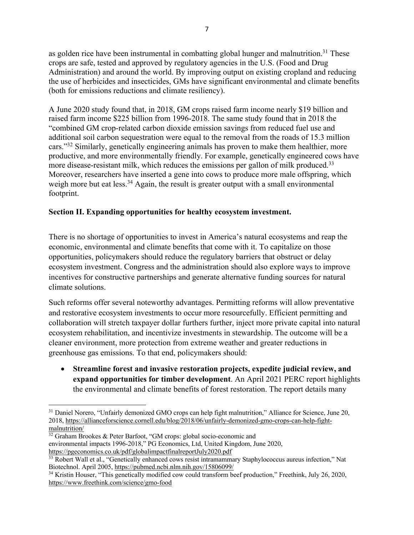as golden rice have been instrumental in combatting global hunger and malnutrition.<sup>31</sup> These crops are safe, tested and approved by regulatory agencies in the U.S. (Food and Drug Administration) and around the world. By improving output on existing cropland and reducing the use of herbicides and insecticides, GMs have significant environmental and climate benefits (both for emissions reductions and climate resiliency).

A June 2020 study found that, in 2018, GM crops raised farm income nearly \$19 billion and raised farm income \$225 billion from 1996-2018. The same study found that in 2018 the "combined GM crop-related carbon dioxide emission savings from reduced fuel use and additional soil carbon sequestration were equal to the removal from the roads of 15.3 million cars."32 Similarly, genetically engineering animals has proven to make them healthier, more productive, and more environmentally friendly. For example, genetically engineered cows have more disease-resistant milk, which reduces the emissions per gallon of milk produced.<sup>33</sup> Moreover, researchers have inserted a gene into cows to produce more male offspring, which weigh more but eat less.<sup>34</sup> Again, the result is greater output with a small environmental footprint.

# **Section II. Expanding opportunities for healthy ecosystem investment.**

There is no shortage of opportunities to invest in America's natural ecosystems and reap the economic, environmental and climate benefits that come with it. To capitalize on those opportunities, policymakers should reduce the regulatory barriers that obstruct or delay ecosystem investment. Congress and the administration should also explore ways to improve incentives for constructive partnerships and generate alternative funding sources for natural climate solutions.

Such reforms offer several noteworthy advantages. Permitting reforms will allow preventative and restorative ecosystem investments to occur more resourcefully. Efficient permitting and collaboration will stretch taxpayer dollar furthers further, inject more private capital into natural ecosystem rehabilitation, and incentivize investments in stewardship. The outcome will be a cleaner environment, more protection from extreme weather and greater reductions in greenhouse gas emissions. To that end, policymakers should:

• **Streamline forest and invasive restoration projects, expedite judicial review, and expand opportunities for timber development**. An April 2021 PERC report highlights the environmental and climate benefits of forest restoration. The report details many

<sup>&</sup>lt;sup>31</sup> Daniel Norero, "Unfairly demonized GMO crops can help fight malnutrition," Alliance for Science, June 20, 2018, https://allianceforscience.cornell.edu/blog/2018/06/unfairly-demonized-gmo-crops-can-help-fightmalnutrition/

 $32$  Graham Brookes & Peter Barfoot, "GM crops: global socio-economic and environmental impacts 1996-2018," PG Economics, Ltd, United Kingdom, June 2020, https://pgeconomics.co.uk/pdf/globalimpactfinalreportJuly2020.pdf

<sup>&</sup>lt;sup>33</sup> Robert Wall et al., "Genetically enhanced cows resist intramammary Staphylococcus aureus infection," Nat Biotechnol. April 2005, https://pubmed.ncbi.nlm.nih.gov/15806099/

<sup>&</sup>lt;sup>34</sup> Kristin Houser, "This genetically modified cow could transform beef production," Freethink, July 26, 2020, https://www.freethink.com/science/gmo-food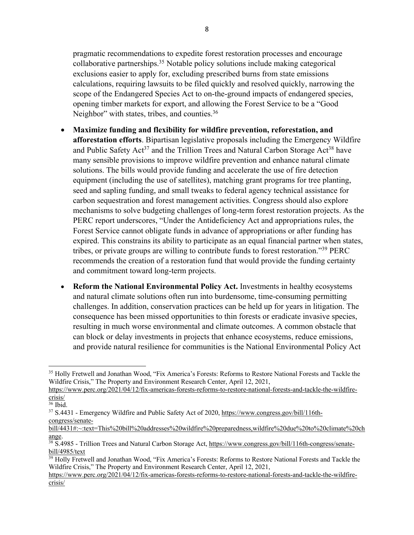pragmatic recommendations to expedite forest restoration processes and encourage collaborative partnerships.35 Notable policy solutions include making categorical exclusions easier to apply for, excluding prescribed burns from state emissions calculations, requiring lawsuits to be filed quickly and resolved quickly, narrowing the scope of the Endangered Species Act to on-the-ground impacts of endangered species, opening timber markets for export, and allowing the Forest Service to be a "Good Neighbor" with states, tribes, and counties.<sup>36</sup>

- **Maximize funding and flexibility for wildfire prevention, reforestation, and afforestation efforts**. Bipartisan legislative proposals including the Emergency Wildfire and Public Safety  $Act^{37}$  and the Trillion Trees and Natural Carbon Storage  $Act^{38}$  have many sensible provisions to improve wildfire prevention and enhance natural climate solutions. The bills would provide funding and accelerate the use of fire detection equipment (including the use of satellites), matching grant programs for tree planting, seed and sapling funding, and small tweaks to federal agency technical assistance for carbon sequestration and forest management activities. Congress should also explore mechanisms to solve budgeting challenges of long-term forest restoration projects. As the PERC report underscores, "Under the Antideficiency Act and appropriations rules, the Forest Service cannot obligate funds in advance of appropriations or after funding has expired. This constrains its ability to participate as an equal financial partner when states, tribes, or private groups are willing to contribute funds to forest restoration."39 PERC recommends the creation of a restoration fund that would provide the funding certainty and commitment toward long-term projects.
- **Reform the National Environmental Policy Act.** Investments in healthy ecosystems and natural climate solutions often run into burdensome, time-consuming permitting challenges. In addition, conservation practices can be held up for years in litigation. The consequence has been missed opportunities to thin forests or eradicate invasive species, resulting in much worse environmental and climate outcomes. A common obstacle that can block or delay investments in projects that enhance ecosystems, reduce emissions, and provide natural resilience for communities is the National Environmental Policy Act

<sup>35</sup> Holly Fretwell and Jonathan Wood, "Fix America's Forests: Reforms to Restore National Forests and Tackle the Wildfire Crisis," The Property and Environment Research Center, April 12, 2021,

https://www.perc.org/2021/04/12/fix-americas-forests-reforms-to-restore-national-forests-and-tackle-the-wildfirecrisis/

<sup>36</sup> Ibid.

<sup>&</sup>lt;sup>37</sup> S.4431 - Emergency Wildfire and Public Safety Act of 2020, https://www.congress.gov/bill/116thcongress/senate-

bill/4431#:~:text=This%20bill%20addresses%20wildfire%20preparedness,wildfire%20due%20to%20climate%20ch ange.

 $\frac{38}{38}$  S.4985 - Trillion Trees and Natural Carbon Storage Act, https://www.congress.gov/bill/116th-congress/senatebill/4985/text

<sup>&</sup>lt;sup>39</sup> Holly Fretwell and Jonathan Wood, "Fix America's Forests: Reforms to Restore National Forests and Tackle the Wildfire Crisis," The Property and Environment Research Center, April 12, 2021,

https://www.perc.org/2021/04/12/fix-americas-forests-reforms-to-restore-national-forests-and-tackle-the-wildfirecrisis/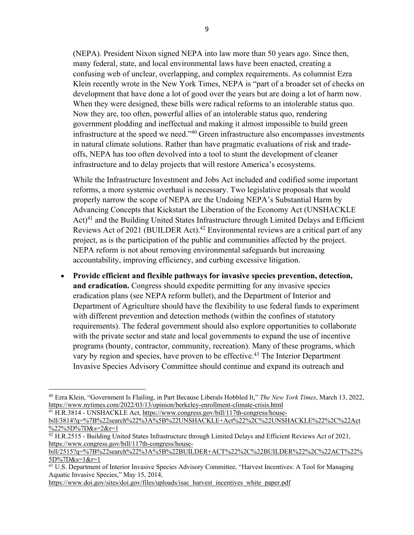(NEPA). President Nixon signed NEPA into law more than 50 years ago. Since then, many federal, state, and local environmental laws have been enacted, creating a confusing web of unclear, overlapping, and complex requirements. As columnist Ezra Klein recently wrote in the New York Times, NEPA is "part of a broader set of checks on development that have done a lot of good over the years but are doing a lot of harm now. When they were designed, these bills were radical reforms to an intolerable status quo. Now they are, too often, powerful allies of an intolerable status quo, rendering government plodding and ineffectual and making it almost impossible to build green infrastructure at the speed we need."40 Green infrastructure also encompasses investments in natural climate solutions. Rather than have pragmatic evaluations of risk and tradeoffs, NEPA has too often devolved into a tool to stunt the development of cleaner infrastructure and to delay projects that will restore America's ecosystems.

While the Infrastructure Investment and Jobs Act included and codified some important reforms, a more systemic overhaul is necessary. Two legislative proposals that would properly narrow the scope of NEPA are the Undoing NEPA's Substantial Harm by Advancing Concepts that Kickstart the Liberation of the Economy Act (UNSHACKLE  $Act)^{41}$  and the Building United States Infrastructure through Limited Delays and Efficient Reviews Act of 2021 (BUILDER Act).<sup>42</sup> Environmental reviews are a critical part of any project, as is the participation of the public and communities affected by the project. NEPA reform is not about removing environmental safeguards but increasing accountability, improving efficiency, and curbing excessive litigation.

• **Provide efficient and flexible pathways for invasive species prevention, detection, and eradication.** Congress should expedite permitting for any invasive species eradication plans (see NEPA reform bullet), and the Department of Interior and Department of Agriculture should have the flexibility to use federal funds to experiment with different prevention and detection methods (within the confines of statutory requirements). The federal government should also explore opportunities to collaborate with the private sector and state and local governments to expand the use of incentive programs (bounty, contractor, community, recreation). Many of these programs, which vary by region and species, have proven to be effective.<sup>43</sup> The Interior Department Invasive Species Advisory Committee should continue and expand its outreach and

https://www.doi.gov/sites/doi.gov/files/uploads/isac\_harvest\_incentives\_white\_paper.pdf

<sup>40</sup> Ezra Klein, "Government Is Flailing, in Part Because Liberals Hobbled It," *The New York Times*, March 13, 2022, https://www.nytimes.com/2022/03/13/opinion/berkeley-enrollment-climate-crisis.html <sup>41</sup> H.R.3814 - UNSHACKLE Act, https://www.congress.gov/bill/117th-congress/house-

bill/3814?q=%7B%22search%22%3A%5B%22UNSHACKLE+Act%22%2C%22UNSHACKLE%22%2C%22Act %22%5D%7D&s=2&r=1

<sup>&</sup>lt;sup>42</sup> H.R.2515 - Building United States Infrastructure through Limited Delays and Efficient Reviews Act of 2021, https://www.congress.gov/bill/117th-congress/house-

bill/2515?q=%7B%22search%22%3A%5B%22BUILDER+ACT%22%2C%22BUILDER%22%2C%22ACT%22% 5D%7D&s=1&r=1

<sup>&</sup>lt;sup>43</sup> U.S. Department of Interior Invasive Species Advisory Committee, "Harvest Incentives: A Tool for Managing Aquatic Invasive Species," May 15, 2014,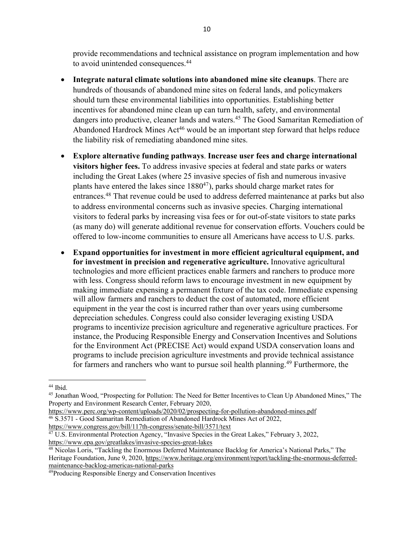provide recommendations and technical assistance on program implementation and how to avoid unintended consequences.<sup>44</sup>

- **Integrate natural climate solutions into abandoned mine site cleanups**. There are hundreds of thousands of abandoned mine sites on federal lands, and policymakers should turn these environmental liabilities into opportunities. Establishing better incentives for abandoned mine clean up can turn health, safety, and environmental dangers into productive, cleaner lands and waters.<sup>45</sup> The Good Samaritan Remediation of Abandoned Hardrock Mines Act<sup>46</sup> would be an important step forward that helps reduce the liability risk of remediating abandoned mine sites.
- **Explore alternative funding pathways**. **Increase user fees and charge international visitors higher fees.** To address invasive species at federal and state parks or waters including the Great Lakes (where 25 invasive species of fish and numerous invasive plants have entered the lakes since  $1880^{47}$ ), parks should charge market rates for entrances.48 That revenue could be used to address deferred maintenance at parks but also to address environmental concerns such as invasive species. Charging international visitors to federal parks by increasing visa fees or for out-of-state visitors to state parks (as many do) will generate additional revenue for conservation efforts. Vouchers could be offered to low-income communities to ensure all Americans have access to U.S. parks.
- **Expand opportunities for investment in more efficient agricultural equipment, and for investment in precision and regenerative agriculture.** Innovative agricultural technologies and more efficient practices enable farmers and ranchers to produce more with less. Congress should reform laws to encourage investment in new equipment by making immediate expensing a permanent fixture of the tax code. Immediate expensing will allow farmers and ranchers to deduct the cost of automated, more efficient equipment in the year the cost is incurred rather than over years using cumbersome depreciation schedules. Congress could also consider leveraging existing USDA programs to incentivize precision agriculture and regenerative agriculture practices. For instance, the Producing Responsible Energy and Conservation Incentives and Solutions for the Environment Act (PRECISE Act) would expand USDA conservation loans and programs to include precision agriculture investments and provide technical assistance for farmers and ranchers who want to pursue soil health planning.<sup>49</sup> Furthermore, the

https://www.perc.org/wp-content/uploads/2020/02/prospecting-for-pollution-abandoned-mines.pdf <sup>46</sup> S.3571 - Good Samaritan Remediation of Abandoned Hardrock Mines Act of 2022, https://www.congress.gov/bill/117th-congress/senate-bill/3571/text

<sup>44</sup> Ibid.

<sup>45</sup> Jonathan Wood, "Prospecting for Pollution: The Need for Better Incentives to Clean Up Abandoned Mines," The Property and Environment Research Center, February 2020,

<sup>&</sup>lt;sup>47</sup> U.S. Environmental Protection Agency, "Invasive Species in the Great Lakes," February 3, 2022, https://www.epa.gov/greatlakes/invasive-species-great-lakes

<sup>48</sup> Nicolas Loris, "Tackling the Enormous Deferred Maintenance Backlog for America's National Parks," The Heritage Foundation, June 9, 2020, https://www.heritage.org/environment/report/tackling-the-enormous-deferredmaintenance-backlog-americas-national-parks

<sup>49</sup>Producing Responsible Energy and Conservation Incentives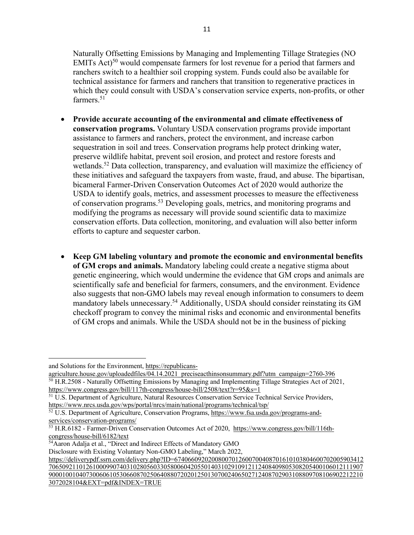Naturally Offsetting Emissions by Managing and Implementing Tillage Strategies (NO EMITs Act)<sup>50</sup> would compensate farmers for lost revenue for a period that farmers and ranchers switch to a healthier soil cropping system. Funds could also be available for technical assistance for farmers and ranchers that transition to regenerative practices in which they could consult with USDA's conservation service experts, non-profits, or other farmers.<sup>51</sup>

- **Provide accurate accounting of the environmental and climate effectiveness of conservation programs.** Voluntary USDA conservation programs provide important assistance to farmers and ranchers, protect the environment, and increase carbon sequestration in soil and trees. Conservation programs help protect drinking water, preserve wildlife habitat, prevent soil erosion, and protect and restore forests and wetlands.<sup>52</sup> Data collection, transparency, and evaluation will maximize the efficiency of these initiatives and safeguard the taxpayers from waste, fraud, and abuse. The bipartisan, bicameral Farmer-Driven Conservation Outcomes Act of 2020 would authorize the USDA to identify goals, metrics, and assessment processes to measure the effectiveness of conservation programs.53 Developing goals, metrics, and monitoring programs and modifying the programs as necessary will provide sound scientific data to maximize conservation efforts. Data collection, monitoring, and evaluation will also better inform efforts to capture and sequester carbon.
- **Keep GM labeling voluntary and promote the economic and environmental benefits of GM crops and animals.** Mandatory labeling could create a negative stigma about genetic engineering, which would undermine the evidence that GM crops and animals are scientifically safe and beneficial for farmers, consumers, and the environment. Evidence also suggests that non-GMO labels may reveal enough information to consumers to deem mandatory labels unnecessary.<sup>54</sup> Additionally, USDA should consider reinstating its GM checkoff program to convey the minimal risks and economic and environmental benefits of GM crops and animals. While the USDA should not be in the business of picking

and Solutions for the Environment, https://republicans-

agriculture.house.gov/uploadedfiles/04.14.2021\_preciseacthinsonsummary.pdf?utm\_campaign=2760-396 <sup>50</sup> H.R.2508 - Naturally Offsetting Emissions by Managing and Implementing Tillage Strategies Act of 2021, https://www.congress.gov/bill/117th-congress/house-bill/2508/text?r=95&s=1

<sup>&</sup>lt;sup>51</sup> U.S. Department of Agriculture, Natural Resources Conservation Service Technical Service Providers, https://www.nrcs.usda.gov/wps/portal/nrcs/main/national/programs/technical/tsp/

<sup>52</sup> U.S. Department of Agriculture, Conservation Programs, https://www.fsa.usda.gov/programs-andservices/conservation-programs/

<sup>53</sup> H.R.6182 - Farmer-Driven Conservation Outcomes Act of 2020, https://www.congress.gov/bill/116thcongress/house-bill/6182/text

<sup>&</sup>lt;sup>54</sup>Aaron Adalja et al., "Direct and Indirect Effects of Mandatory GMO

Disclosure with Existing Voluntary Non-GMO Labeling," March 2022,

https://deliverypdf.ssrn.com/delivery.php?ID=67406609202008007012600700408701610103804600702005903412 706509211012610009907403102805603305800604205501403102910912112408409805308205400106012111907 900010010407300606105306608702506408807202012501307002406502712408702903108809708106902212210 3072028104&EXT=pdf&INDEX=TRUE